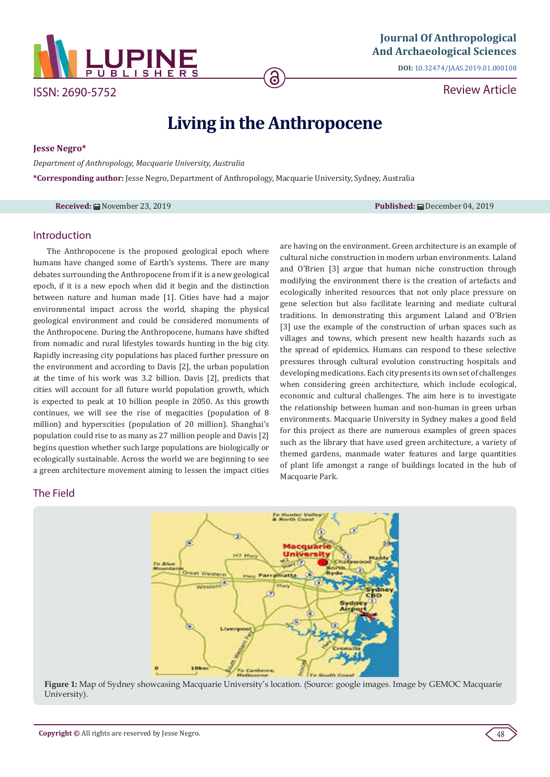

ISSN: 2690-5752

**DOI:** [10.32474/JAAS.2019.01.000108](http://dx.doi.org/10.32474/JAAS.2019.01.000108)

Review Article

# **Living in the Anthropocene**

**Jesse Negro\***

*Department of Anthropology, Macquarie University, Australia*

**\*Corresponding author:** Jesse Negro, Department of Anthropology, Macquarie University, Sydney, Australia

**Received:** November 23, 2019 **Published:** December 04, 2019

are having on the environment. Green architecture is an example of cultural niche construction in modern urban environments. Laland and O'Brien [3] argue that human niche construction through modifying the environment there is the creation of artefacts and ecologically inherited resources that not only place pressure on gene selection but also facilitate learning and mediate cultural traditions. In demonstrating this argument Laland and O'Brien [3] use the example of the construction of urban spaces such as villages and towns, which present new health hazards such as the spread of epidemics. Humans can respond to these selective pressures through cultural evolution constructing hospitals and developing medications. Each city presents its own set of challenges when considering green architecture, which include ecological, economic and cultural challenges. The aim here is to investigate the relationship between human and non-human in green urban environments. Macquarie University in Sydney makes a good field for this project as there are numerous examples of green spaces such as the library that have used green architecture, a variety of themed gardens, manmade water features and large quantities of plant life amongst a range of buildings located in the hub of

#### Introduction

The Anthropocene is the proposed geological epoch where humans have changed some of Earth's systems. There are many debates surrounding the Anthropocene from if it is a new geological epoch, if it is a new epoch when did it begin and the distinction between nature and human made [1]. Cities have had a major environmental impact across the world, shaping the physical geological environment and could be considered monuments of the Anthropocene. During the Anthropocene, humans have shifted from nomadic and rural lifestyles towards hunting in the big city. Rapidly increasing city populations has placed further pressure on the environment and according to Davis [2], the urban population at the time of his work was 3.2 billion. Davis [2], predicts that cities will account for all future world population growth, which is expected to peak at 10 billion people in 2050. As this growth continues, we will see the rise of megacities (population of 8 million) and hyperscities (population of 20 million). Shanghai's population could rise to as many as 27 million people and Davis [2] begins question whether such large populations are biologically or ecologically sustainable. Across the world we are beginning to see a green architecture movement aiming to lessen the impact cities

## The Field



Macquarie Park.

**Figure 1:** Map of Sydney showcasing Macquarie University's location. (Source: google images. Image by GEMOC Macquarie University).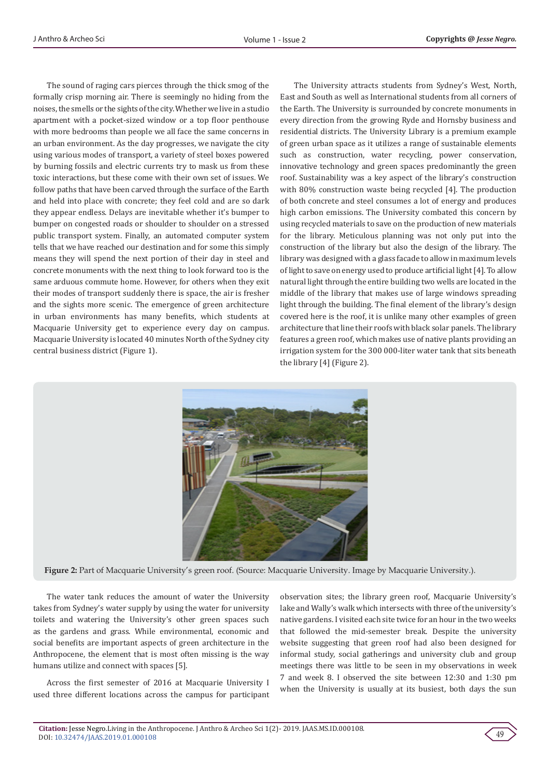The sound of raging cars pierces through the thick smog of the formally crisp morning air. There is seemingly no hiding from the noises, the smells or the sights of the city. Whether we live in a studio apartment with a pocket-sized window or a top floor penthouse with more bedrooms than people we all face the same concerns in an urban environment. As the day progresses, we navigate the city using various modes of transport, a variety of steel boxes powered by burning fossils and electric currents try to mask us from these toxic interactions, but these come with their own set of issues. We follow paths that have been carved through the surface of the Earth and held into place with concrete; they feel cold and are so dark they appear endless. Delays are inevitable whether it's bumper to bumper on congested roads or shoulder to shoulder on a stressed public transport system. Finally, an automated computer system tells that we have reached our destination and for some this simply means they will spend the next portion of their day in steel and concrete monuments with the next thing to look forward too is the same arduous commute home. However, for others when they exit their modes of transport suddenly there is space, the air is fresher and the sights more scenic. The emergence of green architecture in urban environments has many benefits, which students at Macquarie University get to experience every day on campus. Macquarie University is located 40 minutes North of the Sydney city central business district (Figure 1).

The University attracts students from Sydney's West, North, East and South as well as International students from all corners of the Earth. The University is surrounded by concrete monuments in every direction from the growing Ryde and Hornsby business and residential districts. The University Library is a premium example of green urban space as it utilizes a range of sustainable elements such as construction, water recycling, power conservation, innovative technology and green spaces predominantly the green roof. Sustainability was a key aspect of the library's construction with 80% construction waste being recycled [4]. The production of both concrete and steel consumes a lot of energy and produces high carbon emissions. The University combated this concern by using recycled materials to save on the production of new materials for the library. Meticulous planning was not only put into the construction of the library but also the design of the library. The library was designed with a glass facade to allow in maximum levels of light to save on energy used to produce artificial light [4]. To allow natural light through the entire building two wells are located in the middle of the library that makes use of large windows spreading light through the building. The final element of the library's design covered here is the roof, it is unlike many other examples of green architecture that line their roofs with black solar panels. The library features a green roof, which makes use of native plants providing an irrigation system for the 300 000-liter water tank that sits beneath the library [4] (Figure 2).



**Figure 2:** Part of Macquarie University's green roof. (Source: Macquarie University. Image by Macquarie University.).

The water tank reduces the amount of water the University takes from Sydney's water supply by using the water for university toilets and watering the University's other green spaces such as the gardens and grass. While environmental, economic and social benefits are important aspects of green architecture in the Anthropocene, the element that is most often missing is the way humans utilize and connect with spaces [5].

Across the first semester of 2016 at Macquarie University I used three different locations across the campus for participant observation sites; the library green roof, Macquarie University's lake and Wally's walk which intersects with three of the university's native gardens. I visited each site twice for an hour in the two weeks that followed the mid-semester break. Despite the university website suggesting that green roof had also been designed for informal study, social gatherings and university club and group meetings there was little to be seen in my observations in week 7 and week 8. I observed the site between 12:30 and 1:30 pm when the University is usually at its busiest, both days the sun

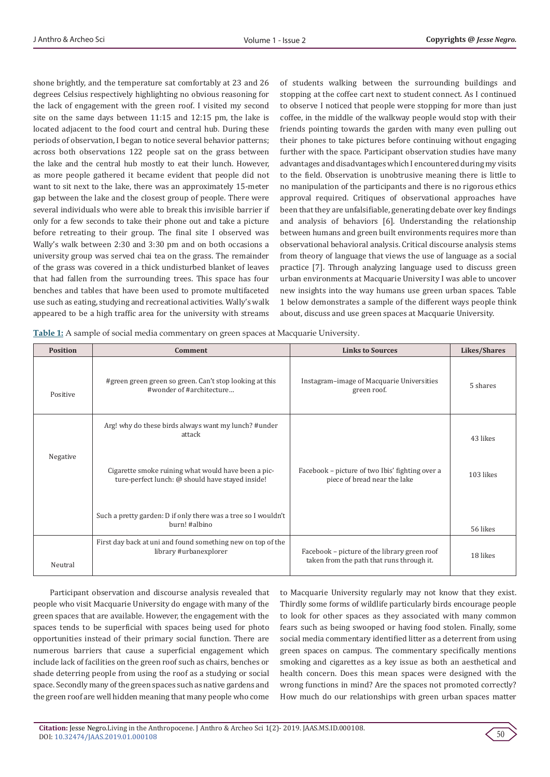shone brightly, and the temperature sat comfortably at 23 and 26 degrees Celsius respectively highlighting no obvious reasoning for the lack of engagement with the green roof. I visited my second site on the same days between 11:15 and 12:15 pm, the lake is located adjacent to the food court and central hub. During these periods of observation, I began to notice several behavior patterns; across both observations 122 people sat on the grass between the lake and the central hub mostly to eat their lunch. However, as more people gathered it became evident that people did not want to sit next to the lake, there was an approximately 15-meter gap between the lake and the closest group of people. There were several individuals who were able to break this invisible barrier if only for a few seconds to take their phone out and take a picture before retreating to their group. The final site I observed was Wally's walk between 2:30 and 3:30 pm and on both occasions a university group was served chai tea on the grass. The remainder of the grass was covered in a thick undisturbed blanket of leaves that had fallen from the surrounding trees. This space has four benches and tables that have been used to promote multifaceted use such as eating, studying and recreational activities. Wally's walk appeared to be a high traffic area for the university with streams

of students walking between the surrounding buildings and stopping at the coffee cart next to student connect. As I continued to observe I noticed that people were stopping for more than just coffee, in the middle of the walkway people would stop with their friends pointing towards the garden with many even pulling out their phones to take pictures before continuing without engaging further with the space. Participant observation studies have many advantages and disadvantages which I encountered during my visits to the field. Observation is unobtrusive meaning there is little to no manipulation of the participants and there is no rigorous ethics approval required. Critiques of observational approaches have been that they are unfalsifiable, generating debate over key findings and analysis of behaviors [6]. Understanding the relationship between humans and green built environments requires more than observational behavioral analysis. Critical discourse analysis stems from theory of language that views the use of language as a social practice [7]. Through analyzing language used to discuss green urban environments at Macquarie University I was able to uncover new insights into the way humans use green urban spaces. Table 1 below demonstrates a sample of the different ways people think about, discuss and use green spaces at Macquarie University.

| Table 1: A sample of social media commentary on green spaces at Macquarie University. |  |  |
|---------------------------------------------------------------------------------------|--|--|
|                                                                                       |  |  |

| <b>Position</b> | Comment                                                                                                 | <b>Links to Sources</b>                                                                   | Likes/Shares |
|-----------------|---------------------------------------------------------------------------------------------------------|-------------------------------------------------------------------------------------------|--------------|
| Positive        | #green green green so green. Can't stop looking at this<br>#wonder of #architecture                     | Instagram-image of Macquarie Universities<br>green roof.                                  | 5 shares     |
|                 | Arg! why do these birds always want my lunch? #under<br>attack                                          |                                                                                           | 43 likes     |
| Negative        | Cigarette smoke ruining what would have been a pic-<br>ture-perfect lunch: @ should have stayed inside! | Facebook – picture of two Ibis' fighting over a<br>piece of bread near the lake           | 103 likes    |
|                 | Such a pretty garden: D if only there was a tree so I wouldn't<br>burn! #albino                         |                                                                                           | 56 likes     |
| Neutral         | First day back at uni and found something new on top of the<br>library #urbanexplorer                   | Facebook – picture of the library green roof<br>taken from the path that runs through it. | 18 likes     |

 Participant observation and discourse analysis revealed that people who visit Macquarie University do engage with many of the green spaces that are available. However, the engagement with the spaces tends to be superficial with spaces being used for photo opportunities instead of their primary social function. There are numerous barriers that cause a superficial engagement which include lack of facilities on the green roof such as chairs, benches or shade deterring people from using the roof as a studying or social space. Secondly many of the green spaces such as native gardens and the green roof are well hidden meaning that many people who come

to Macquarie University regularly may not know that they exist. Thirdly some forms of wildlife particularly birds encourage people to look for other spaces as they associated with many common fears such as being swooped or having food stolen. Finally, some social media commentary identified litter as a deterrent from using green spaces on campus. The commentary specifically mentions smoking and cigarettes as a key issue as both an aesthetical and health concern. Does this mean spaces were designed with the wrong functions in mind? Are the spaces not promoted correctly? How much do our relationships with green urban spaces matter

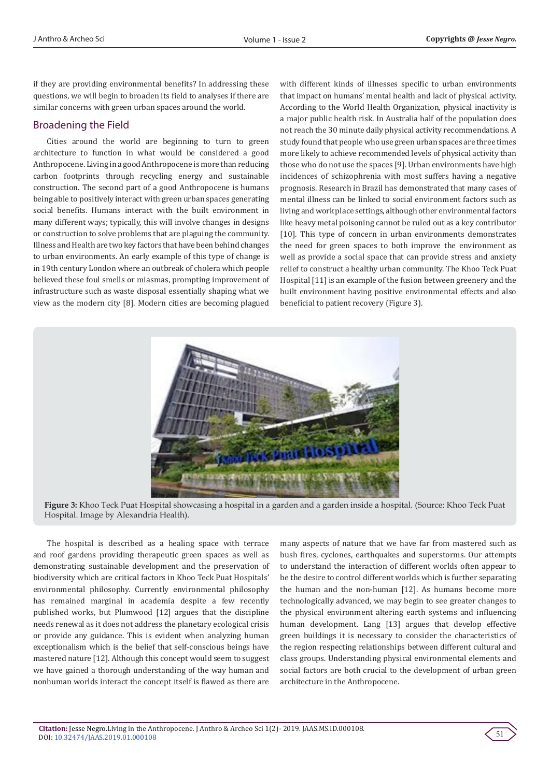if they are providing environmental benefits? In addressing these questions, we will begin to broaden its field to analyses if there are similar concerns with green urban spaces around the world.

## Broadening the Field

Cities around the world are beginning to turn to green architecture to function in what would be considered a good Anthropocene. Living in a good Anthropocene is more than reducing carbon footprints through recycling energy and sustainable construction. The second part of a good Anthropocene is humans being able to positively interact with green urban spaces generating social benefits. Humans interact with the built environment in many different ways; typically, this will involve changes in designs or construction to solve problems that are plaguing the community. Illness and Health are two key factors that have been behind changes to urban environments. An early example of this type of change is in 19th century London where an outbreak of cholera which people believed these foul smells or miasmas, prompting improvement of infrastructure such as waste disposal essentially shaping what we view as the modern city [8]. Modern cities are becoming plagued

with different kinds of illnesses specific to urban environments that impact on humans' mental health and lack of physical activity. According to the World Health Organization, physical inactivity is a major public health risk. In Australia half of the population does not reach the 30 minute daily physical activity recommendations. A study found that people who use green urban spaces are three times more likely to achieve recommended levels of physical activity than those who do not use the spaces [9]. Urban environments have high incidences of schizophrenia with most suffers having a negative prognosis. Research in Brazil has demonstrated that many cases of mental illness can be linked to social environment factors such as living and work place settings, although other environmental factors like heavy metal poisoning cannot be ruled out as a key contributor [10]. This type of concern in urban environments demonstrates the need for green spaces to both improve the environment as well as provide a social space that can provide stress and anxiety relief to construct a healthy urban community. The Khoo Teck Puat Hospital [11] is an example of the fusion between greenery and the built environment having positive environmental effects and also beneficial to patient recovery (Figure 3).



**Figure 3:** Khoo Teck Puat Hospital showcasing a hospital in a garden and a garden inside a hospital. (Source: Khoo Teck Puat Hospital. Image by Alexandria Health).

The hospital is described as a healing space with terrace and roof gardens providing therapeutic green spaces as well as demonstrating sustainable development and the preservation of biodiversity which are critical factors in Khoo Teck Puat Hospitals' environmental philosophy. Currently environmental philosophy has remained marginal in academia despite a few recently published works, but Plumwood [12] argues that the discipline needs renewal as it does not address the planetary ecological crisis or provide any guidance. This is evident when analyzing human exceptionalism which is the belief that self-conscious beings have mastered nature [12]. Although this concept would seem to suggest we have gained a thorough understanding of the way human and nonhuman worlds interact the concept itself is flawed as there are

many aspects of nature that we have far from mastered such as bush fires, cyclones, earthquakes and superstorms. Our attempts to understand the interaction of different worlds often appear to be the desire to control different worlds which is further separating the human and the non-human [12]. As humans become more technologically advanced, we may begin to see greater changes to the physical environment altering earth systems and influencing human development. Lang [13] argues that develop effective green buildings it is necessary to consider the characteristics of the region respecting relationships between different cultural and class groups. Understanding physical environmental elements and social factors are both crucial to the development of urban green architecture in the Anthropocene.